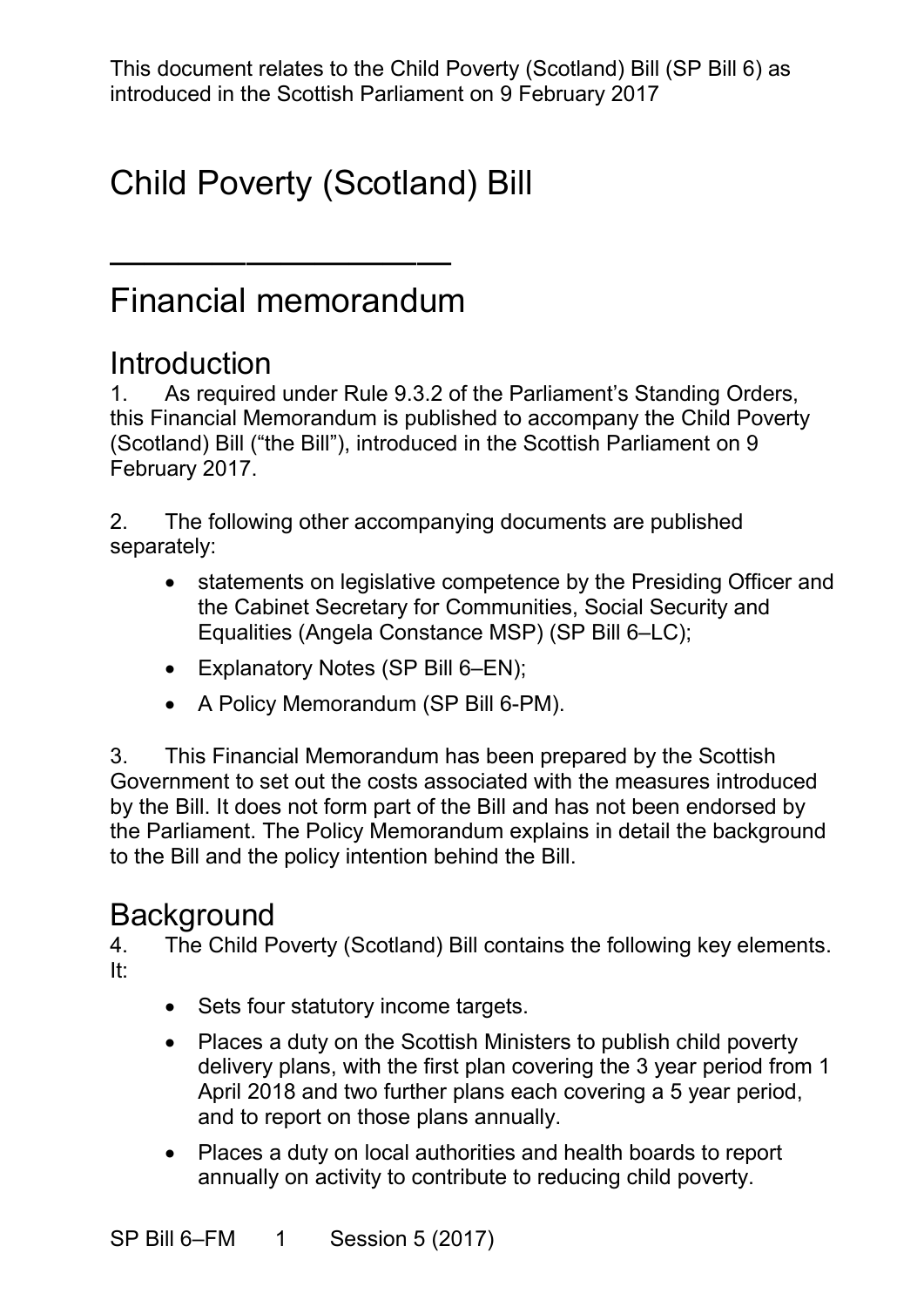This document relates to the Child Poverty (Scotland) Bill (SP Bill 6) as introduced in the Scottish Parliament on 9 February 2017

# Child Poverty (Scotland) Bill

#### Financial memorandum

——————————

#### **Introduction**

 1. As required under Rule 9.3.2 of the Parliament's Standing Orders, this Financial Memorandum is published to accompany the Child Poverty (Scotland) Bill ("the Bill"), introduced in the Scottish Parliament on 9 February 2017.

2. The following other accompanying documents are published separately:

- statements on legislative competence by the Presiding Officer and the Cabinet Secretary for Communities, Social Security and Equalities (Angela Constance MSP) (SP Bill 6–LC);
- Explanatory Notes (SP Bill 6–EN);
- $\bullet$ • A Policy Memorandum (SP Bill 6-PM).

 3. This Financial Memorandum has been prepared by the Scottish Government to set out the costs associated with the measures introduced by the Bill. It does not form part of the Bill and has not been endorsed by the Parliament. The Policy Memorandum explains in detail the background to the Bill and the policy intention behind the Bill.

#### **Background**

4. The Child Poverty (Scotland) Bill contains the following key elements. It:

- Sets four statutory income targets.
- • Places a duty on the Scottish Ministers to publish child poverty delivery plans, with the first plan covering the 3 year period from 1 and to report on those plans annually. April 2018 and two further plans each covering a 5 year period,
- annually on activity to contribute to reducing child poverty. • Places a duty on local authorities and health boards to report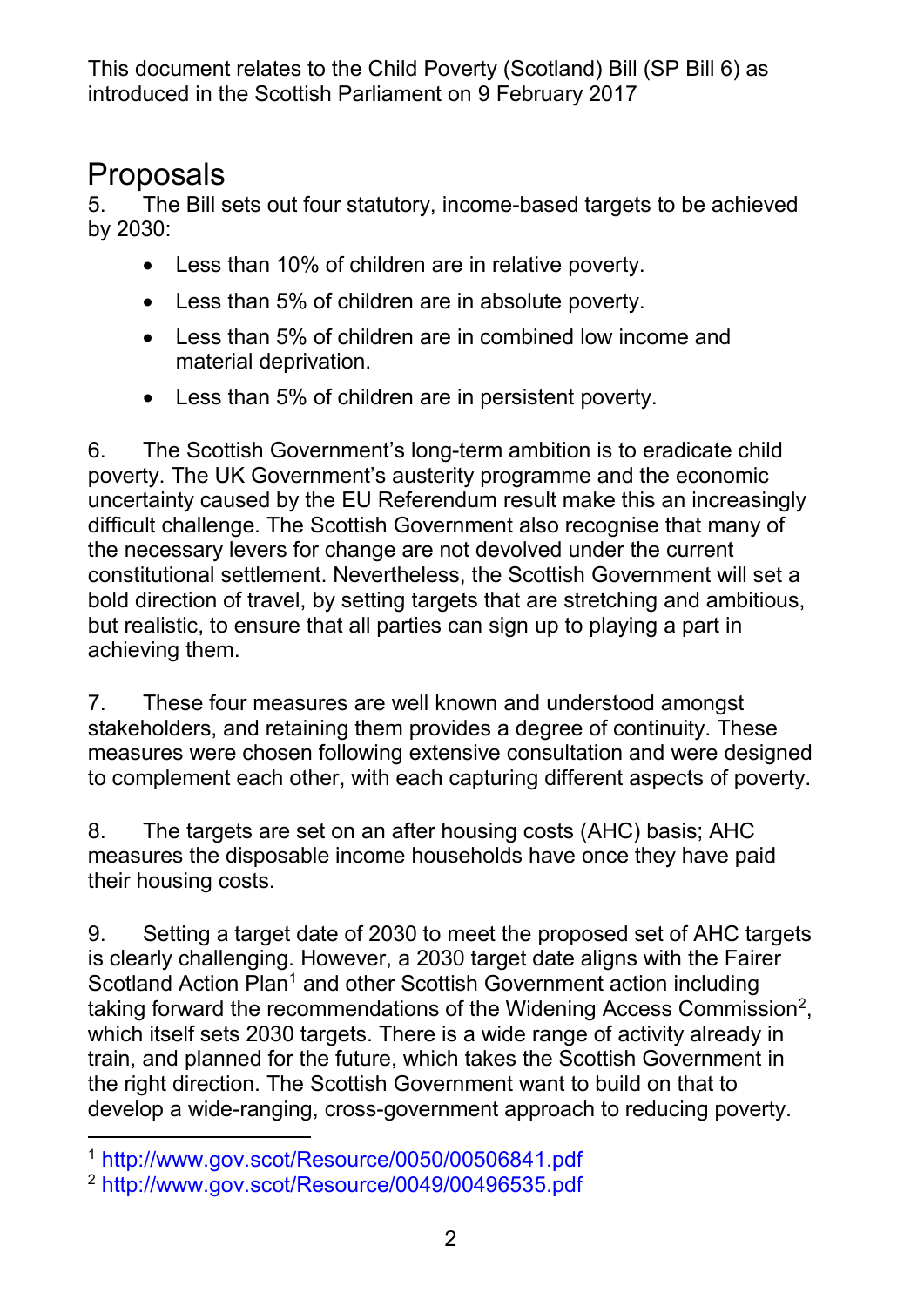# **Proposals**<br>5. The Bill s

 5. The Bill sets out four statutory, income-based targets to be achieved by 2030:

- Less than 10% of children are in relative poverty.
- Less than 5% of children are in absolute poverty.
- • Less than 5% of children are in combined low income and material deprivation.
- Less than 5% of children are in persistent poverty.

 6. The Scottish Government's long-term ambition is to eradicate child poverty. The UK Government's austerity programme and the economic difficult challenge. The Scottish Government also recognise that many of the necessary levers for change are not devolved under the current constitutional settlement. Nevertheless, the Scottish Government will set a but realistic, to ensure that all parties can sign up to playing a part in uncertainty caused by the EU Referendum result make this an increasingly bold direction of travel, by setting targets that are stretching and ambitious, achieving them.

7. These four measures are well known and understood amongst stakeholders, and retaining them provides a degree of continuity. These measures were chosen following extensive consultation and were designed to complement each other, with each capturing different aspects of poverty.

 8. The targets are set on an after housing costs (AHC) basis; AHC measures the disposable income households have once they have paid their housing costs.

 9. Setting a target date of 2030 to meet the proposed set of AHC targets is clearly challenging. However, a 2030 target date aligns with the Fairer train, and planned for the future, which takes the Scottish Government in the right direction. The Scottish Government want to build on that to Scotland Action Plan<sup>[1](#page-1-0)</sup> and other Scottish Government action including taking forward the recommendations of the Widening Access Commission<sup>2</sup>, which itself sets 2030 targets. There is a wide range of activity already in develop a wide-ranging, cross-government approach to reducing poverty.

 $\overline{a}$ 

<span id="page-1-0"></span><sup>1</sup><http://www.gov.scot/Resource/0050/00506841.pdf>

<span id="page-1-1"></span><sup>2</sup><http://www.gov.scot/Resource/0049/00496535.pdf>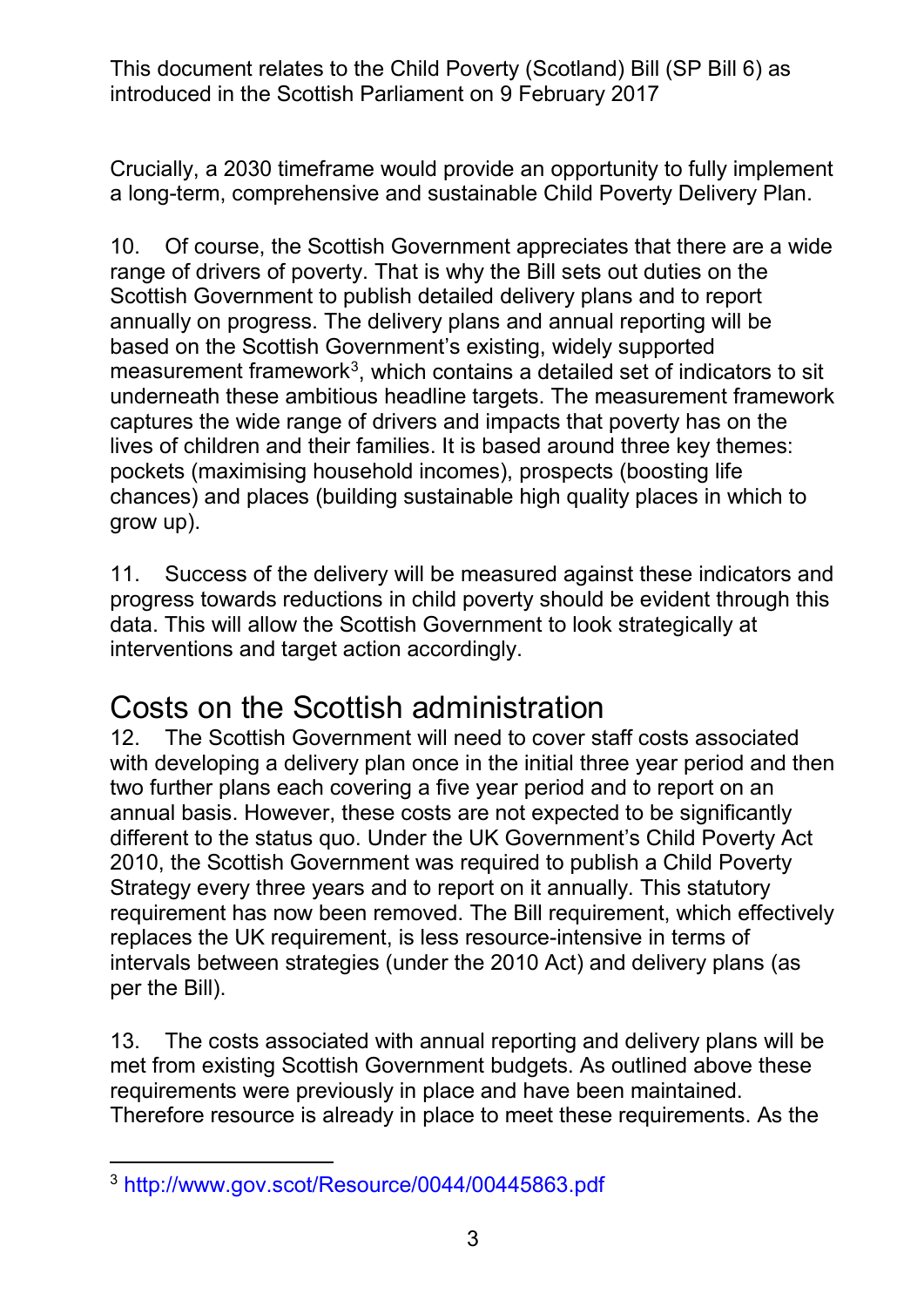Crucially, a 2030 timeframe would provide an opportunity to fully implement a long-term, comprehensive and sustainable Child Poverty Delivery Plan.

 10. Of course, the Scottish Government appreciates that there are a wide range of drivers of poverty. That is why the Bill sets out duties on the Scottish Government to publish detailed delivery plans and to report based on the Scottish Government's existing, widely supported measurement framework $^3$  $^3$ , which contains a detailed set of indicators to sit lives of children and their families. It is based around three key themes: grow up). annually on progress. The delivery plans and annual reporting will be underneath these ambitious headline targets. The measurement framework captures the wide range of drivers and impacts that poverty has on the pockets (maximising household incomes), prospects (boosting life chances) and places (building sustainable high quality places in which to

11. Success of the delivery will be measured against these indicators and progress towards reductions in child poverty should be evident through this data. This will allow the Scottish Government to look strategically at interventions and target action accordingly.

#### Costs on the Scottish administration

 with developing a delivery plan once in the initial three year period and then two further plans each covering a five year period and to report on an Strategy every three years and to report on it annually. This statutory per the Bill). 12. The Scottish Government will need to cover staff costs associated annual basis. However, these costs are not expected to be significantly different to the status quo. Under the UK Government's Child Poverty Act 2010, the Scottish Government was required to publish a Child Poverty requirement has now been removed. The Bill requirement, which effectively replaces the UK requirement, is less resource-intensive in terms of intervals between strategies (under the 2010 Act) and delivery plans (as

 met from existing Scottish Government budgets. As outlined above these Therefore resource is already in place to meet these requirements. As the 13. The costs associated with annual reporting and delivery plans will be requirements were previously in place and have been maintained.

<span id="page-2-0"></span><sup>-</sup>3<http://www.gov.scot/Resource/0044/00445863.pdf>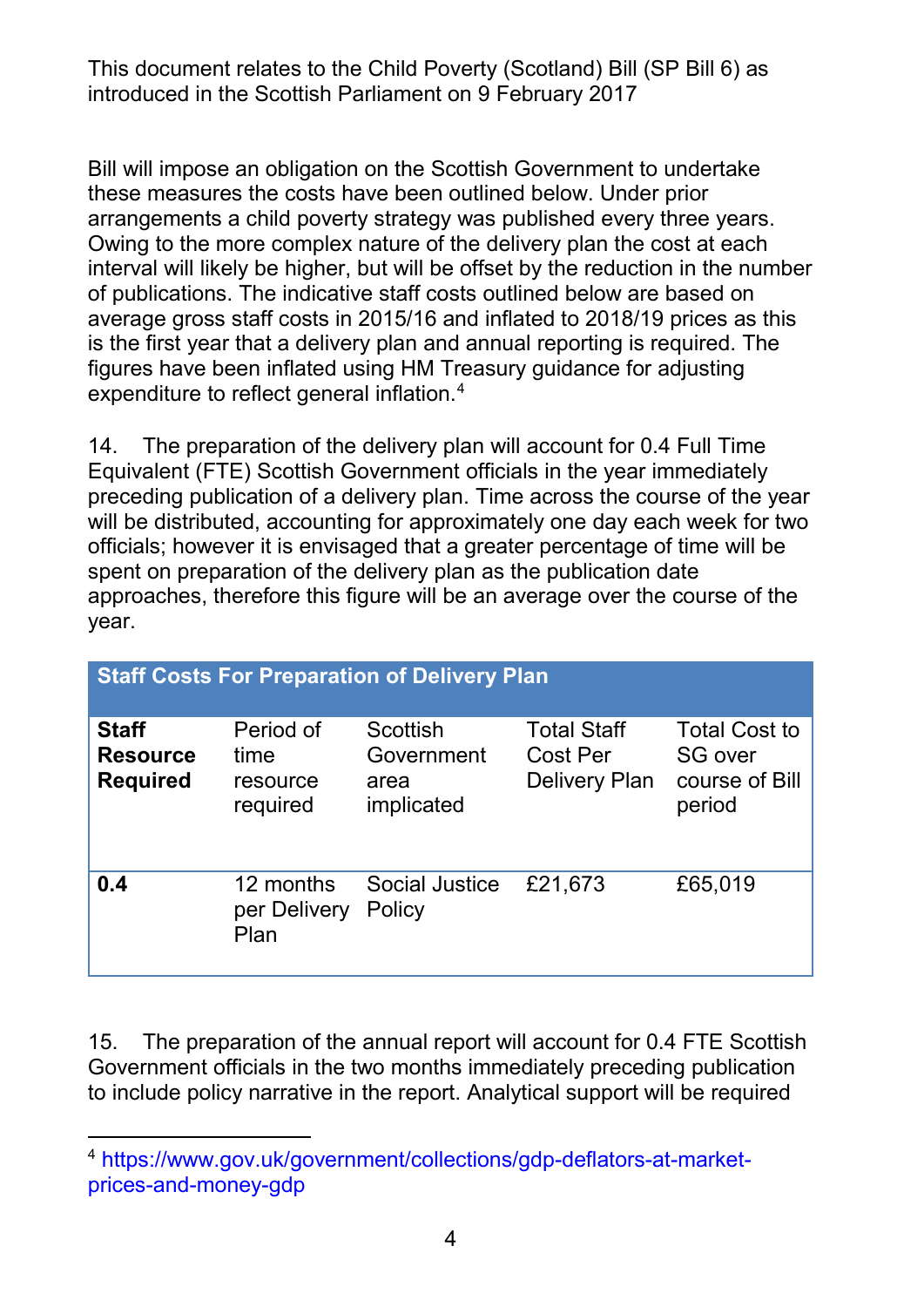interval will likely be higher, but will be offset by the reduction in the number is the first year that a delivery plan and annual reporting is required. The Bill will impose an obligation on the Scottish Government to undertake these measures the costs have been outlined below. Under prior arrangements a child poverty strategy was published every three years. Owing to the more complex nature of the delivery plan the cost at each of publications. The indicative staff costs outlined below are based on average gross staff costs in 2015/16 and inflated to 2018/19 prices as this figures have been inflated using HM Treasury guidance for adjusting expenditure to reflect general inflation.<sup>4</sup>

 14. The preparation of the delivery plan will account for 0.4 Full Time will be distributed, accounting for approximately one day each week for two officials; however it is envisaged that a greater percentage of time will be spent on preparation of the delivery plan as the publication date approaches, therefore this figure will be an average over the course of the year. Equivalent (FTE) Scottish Government officials in the year immediately preceding publication of a delivery plan. Time across the course of the year

| <b>Staff Costs For Preparation of Delivery Plan</b> |                                           |                                                     |                                                        |                                                                    |  |  |
|-----------------------------------------------------|-------------------------------------------|-----------------------------------------------------|--------------------------------------------------------|--------------------------------------------------------------------|--|--|
| <b>Staff</b><br><b>Resource</b><br><b>Required</b>  | Period of<br>time<br>resource<br>required | <b>Scottish</b><br>Government<br>area<br>implicated | <b>Total Staff</b><br>Cost Per<br><b>Delivery Plan</b> | <b>Total Cost to</b><br><b>SG over</b><br>course of Bill<br>period |  |  |
| 0.4                                                 | 12 months<br>per Delivery<br>Plan         | <b>Social Justice</b><br>Policy                     | £21,673                                                | £65,019                                                            |  |  |

 15. The preparation of the annual report will account for 0.4 FTE Scottish to include policy narrative in the report. Analytical support will be required Government officials in the two months immediately preceding publication

<span id="page-3-0"></span><sup>-</sup>4 [https://www.gov.uk/government/collections/gdp-deflators-at-market](https://www.gov.uk/government/collections/gdp-deflators-at-market-prices-and-money-gdp)[prices-and-money-gdp](https://www.gov.uk/government/collections/gdp-deflators-at-market-prices-and-money-gdp)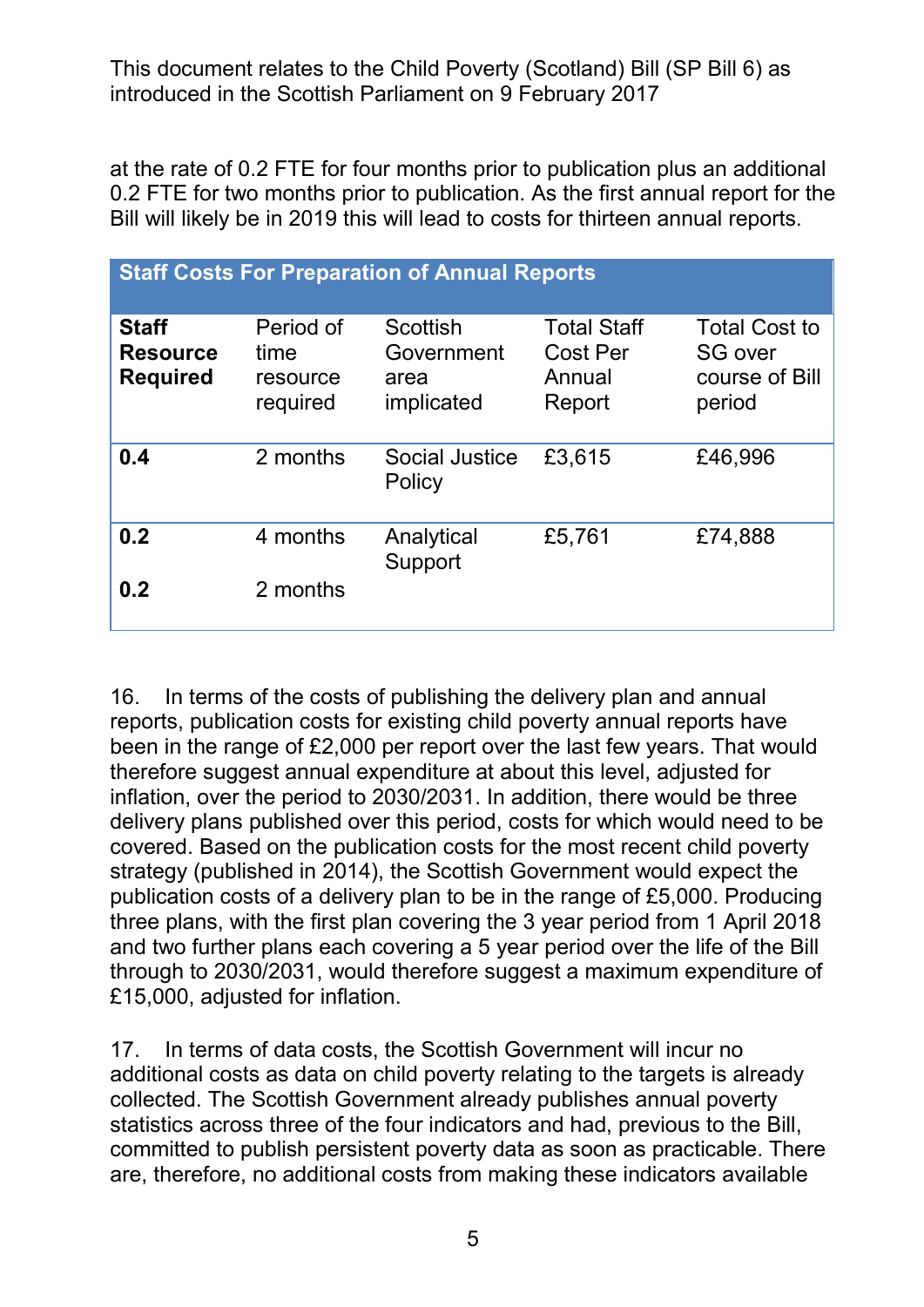at the rate of 0.2 FTE for four months prior to publication plus an additional 0.2 FTE for two months prior to publication. As the first annual report for the Bill will likely be in 2019 this will lead to costs for thirteen annual reports.

| <b>Staff Costs For Preparation of Annual Reports</b> |                                           |                                                     |                                                           |                                                                    |  |  |
|------------------------------------------------------|-------------------------------------------|-----------------------------------------------------|-----------------------------------------------------------|--------------------------------------------------------------------|--|--|
| <b>Staff</b><br><b>Resource</b><br><b>Required</b>   | Period of<br>time<br>resource<br>required | <b>Scottish</b><br>Government<br>area<br>implicated | <b>Total Staff</b><br><b>Cost Per</b><br>Annual<br>Report | <b>Total Cost to</b><br><b>SG over</b><br>course of Bill<br>period |  |  |
| 0.4                                                  | 2 months                                  | <b>Social Justice</b><br>Policy                     | £3,615                                                    | £46,996                                                            |  |  |
| 0.2<br>0.2                                           | 4 months<br>2 months                      | Analytical<br>Support                               | £5,761                                                    | £74,888                                                            |  |  |
|                                                      |                                           |                                                     |                                                           |                                                                    |  |  |

 16. In terms of the costs of publishing the delivery plan and annual reports, publication costs for existing child poverty annual reports have inflation, over the period to 2030/2031. In addition, there would be three strategy (published in 2014), the Scottish Government would expect the and two further plans each covering a 5 year period over the life of the Bill been in the range of £2,000 per report over the last few years. That would therefore suggest annual expenditure at about this level, adjusted for delivery plans published over this period, costs for which would need to be covered. Based on the publication costs for the most recent child poverty publication costs of a delivery plan to be in the range of £5,000. Producing three plans, with the first plan covering the 3 year period from 1 April 2018 through to 2030/2031, would therefore suggest a maximum expenditure of £15,000, adjusted for inflation.

 17. In terms of data costs, the Scottish Government will incur no additional costs as data on child poverty relating to the targets is already statistics across three of the four indicators and had, previous to the Bill, are, therefore, no additional costs from making these indicators available collected. The Scottish Government already publishes annual poverty committed to publish persistent poverty data as soon as practicable. There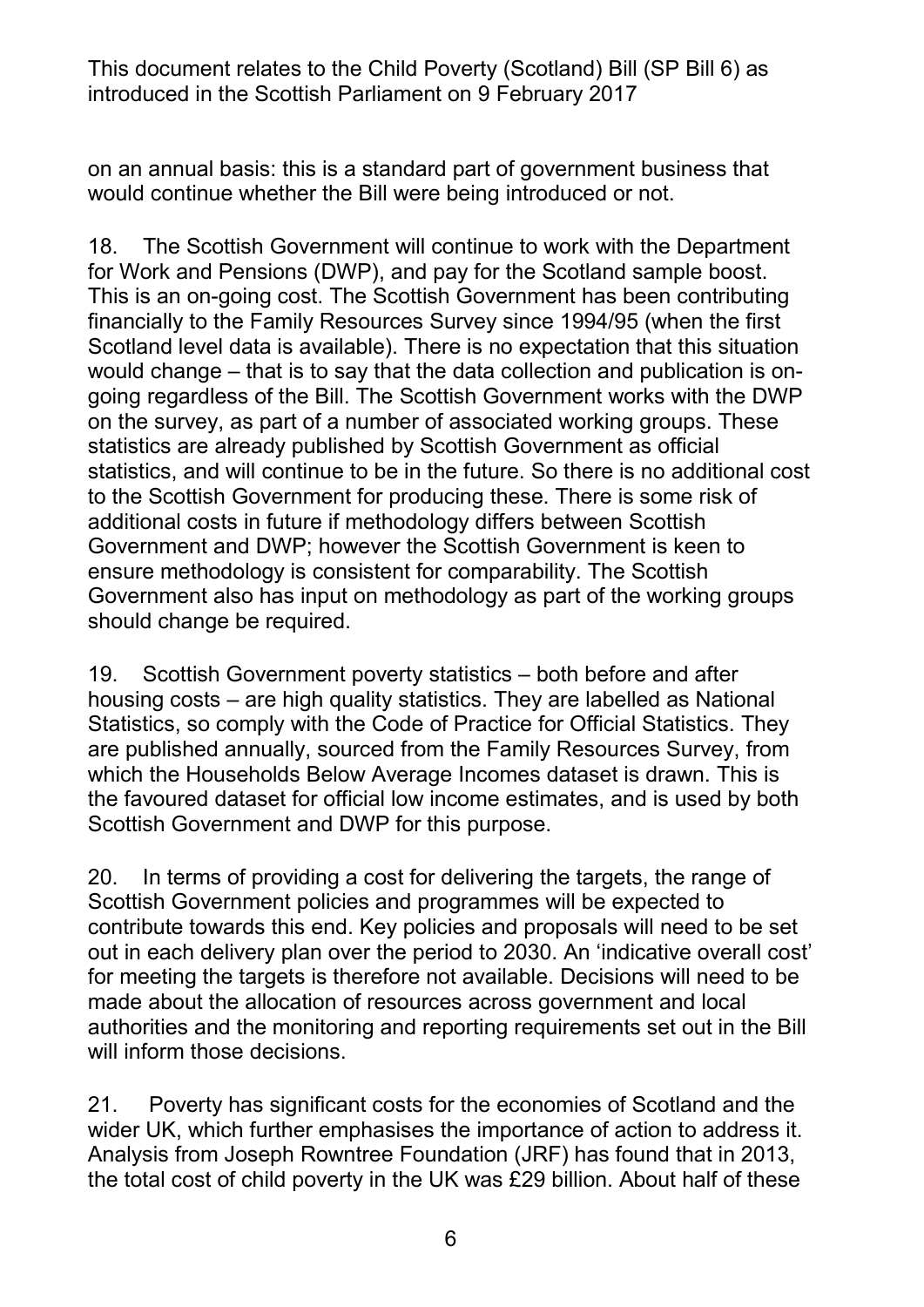on an annual basis: this is a standard part of government business that would continue whether the Bill were being introduced or not.

 This is an on-going cost. The Scottish Government has been contributing financially to the Family Resources Survey since 1994/95 (when the first Scotland level data is available). There is no expectation that this situation would change – that is to say that the data collection and publication is on- on the survey, as part of a number of associated working groups. These statistics, and will continue to be in the future. So there is no additional cost additional costs in future if methodology differs between Scottish Government and DWP; however the Scottish Government is keen to 18. The Scottish Government will continue to work with the Department for Work and Pensions (DWP), and pay for the Scotland sample boost. going regardless of the Bill. The Scottish Government works with the DWP statistics are already published by Scottish Government as official to the Scottish Government for producing these. There is some risk of ensure methodology is consistent for comparability. The Scottish Government also has input on methodology as part of the working groups should change be required.

 19. Scottish Government poverty statistics – both before and after housing costs – are high quality statistics. They are labelled as National Statistics, so comply with the Code of Practice for Official Statistics. They Scottish Government and DWP for this purpose. are published annually, sourced from the Family Resources Survey, from which the Households Below Average Incomes dataset is drawn. This is the favoured dataset for official low income estimates, and is used by both

 20. In terms of providing a cost for delivering the targets, the range of contribute towards this end. Key policies and proposals will need to be set for meeting the targets is therefore not available. Decisions will need to be Scottish Government policies and programmes will be expected to out in each delivery plan over the period to 2030. An 'indicative overall cost' made about the allocation of resources across government and local authorities and the monitoring and reporting requirements set out in the Bill will inform those decisions.

 $21.$  Analysis from Joseph Rowntree Foundation (JRF) has found that in 2013, the total cost of child poverty in the UK was £29 billion. About half of these 21. Poverty has significant costs for the economies of Scotland and the wider UK, which further emphasises the importance of action to address it.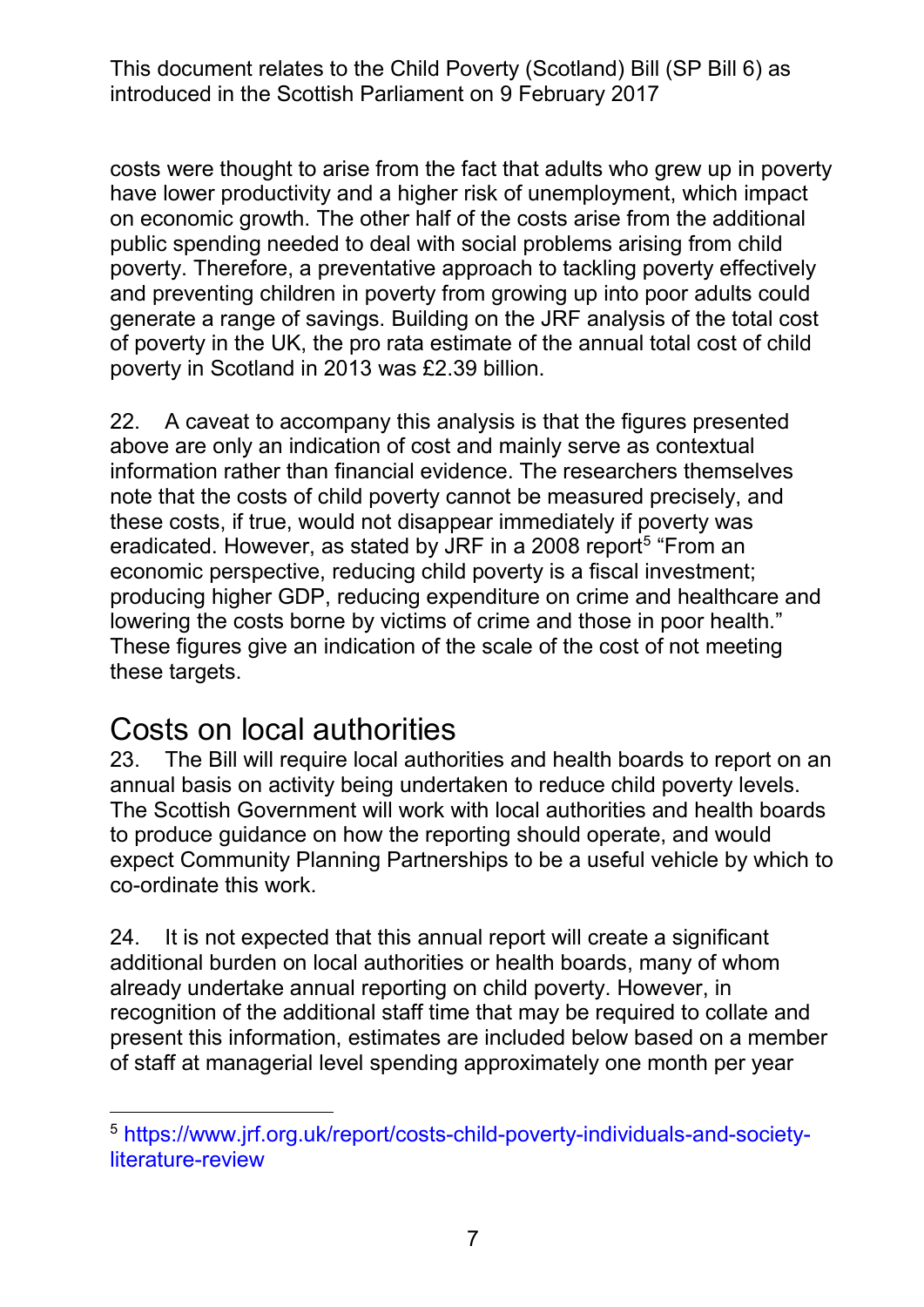costs were thought to arise from the fact that adults who grew up in poverty on economic growth. The other half of the costs arise from the additional public spending needed to deal with social problems arising from child and preventing children in poverty from growing up into poor adults could generate a range of savings. Building on the JRF analysis of the total cost of poverty in the UK, the pro rata estimate of the annual total cost of child poverty in Scotland in 2013 was £2.39 billion. have lower productivity and a higher risk of unemployment, which impact poverty. Therefore, a preventative approach to tackling poverty effectively

 22. A caveat to accompany this analysis is that the figures presented information rather than financial evidence. The researchers themselves note that the costs of child poverty cannot be measured precisely, and these costs, if true, would not disappear immediately if poverty was producing higher GDP, reducing expenditure on crime and healthcare and lowering the costs borne by victims of crime and those in poor health." These figures give an indication of the scale of the cost of not meeting these targets. above are only an indication of cost and mainly serve as contextual eradicated. However, as stated by JRF in a 2008 report<sup>5</sup> "From an economic perspective, reducing child poverty is a fiscal investment;

#### Costs on local authorities

 to produce guidance on how the reporting should operate, and would expect Community Planning Partnerships to be a useful vehicle by which to co-ordinate this work. 23. The Bill will require local authorities and health boards to report on an annual basis on activity being undertaken to reduce child poverty levels. The Scottish Government will work with local authorities and health boards

co-ordinate this work.<br>24. It is not expected that this annual report will create a significant recognition of the additional staff time that may be required to collate and present this information, estimates are included below based on a member of staff at managerial level spending approximately one month per year additional burden on local authorities or health boards, many of whom already undertake annual reporting on child poverty. However, in

<span id="page-6-0"></span>literature-review 5 [https://www.jrf.org.uk/report/costs-child-poverty-individuals-and-society](https://www.jrf.org.uk/report/costs-child-poverty-individuals-and-society-literature-review)literature-review<br>7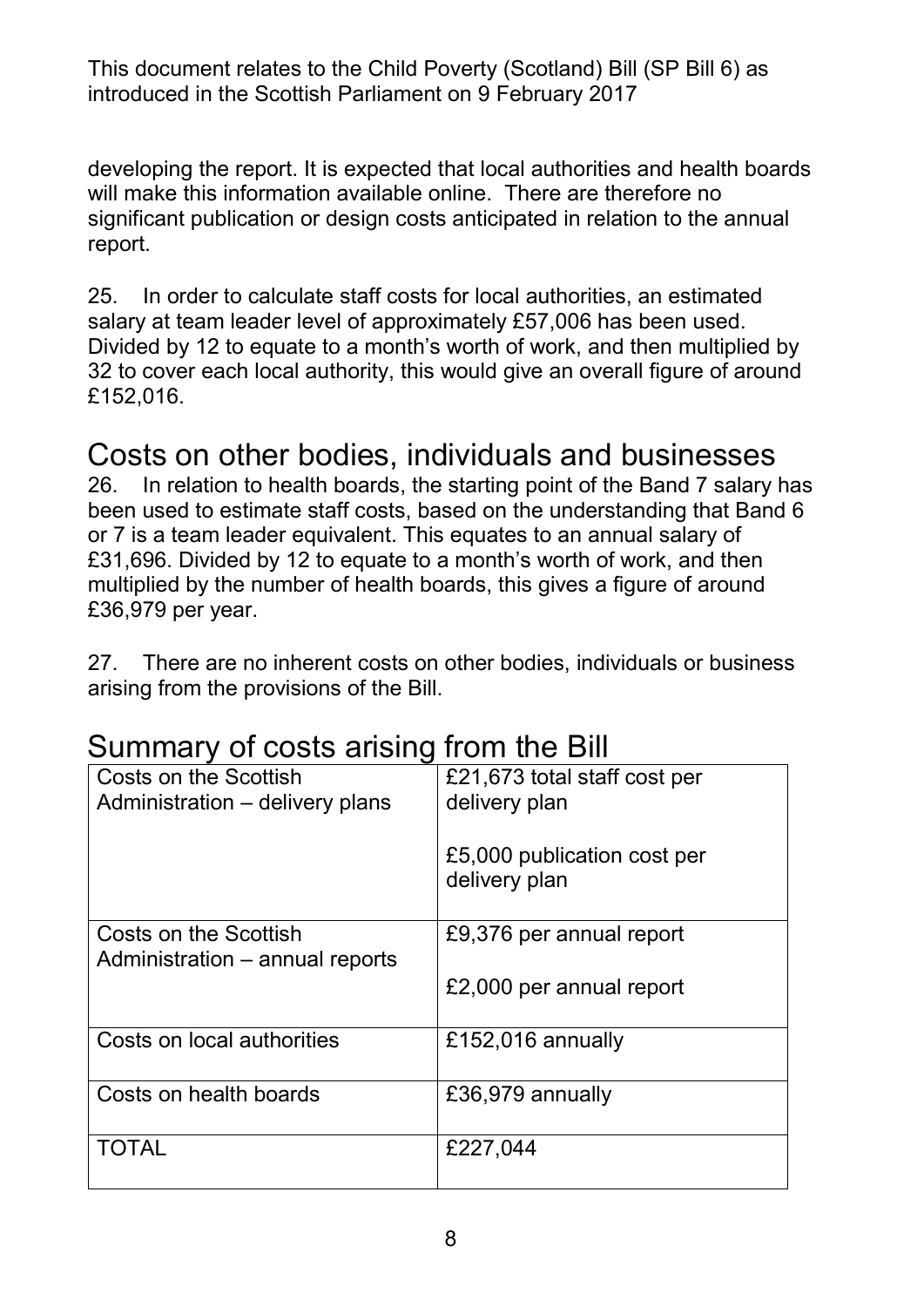significant publication or design costs anticipated in relation to the annual developing the report. It is expected that local authorities and health boards will make this information available online. There are therefore no report.

 25. In order to calculate staff costs for local authorities, an estimated salary at team leader level of approximately £57,006 has been used. 32 to cover each local authority, this would give an overall figure of around £152,016. Divided by 12 to equate to a month's worth of work, and then multiplied by

# £152,016. Costs on other bodies, individuals and businesses

 or 7 is a team leader equivalent. This equates to an annual salary of £31,696. Divided by 12 to equate to a month's worth of work, and then £36,979 per year. 26. In relation to health boards, the starting point of the Band 7 salary has been used to estimate staff costs, based on the understanding that Band 6 multiplied by the number of health boards, this gives a figure of around

 arising from the provisions of the Bill. 27. There are no inherent costs on other bodies, individuals or business

#### Summary of costs arising from the Bill

| <b>Costs on the Scottish</b><br>Administration – delivery plans | £21,673 total staff cost per<br>delivery plan |
|-----------------------------------------------------------------|-----------------------------------------------|
|                                                                 | £5,000 publication cost per<br>delivery plan  |
| Costs on the Scottish                                           | £9,376 per annual report                      |
| Administration – annual reports                                 | £2,000 per annual report                      |
| Costs on local authorities                                      | £152,016 annually                             |
| Costs on health boards                                          | £36,979 annually                              |
| <b>TOTAL</b>                                                    | £227,044                                      |